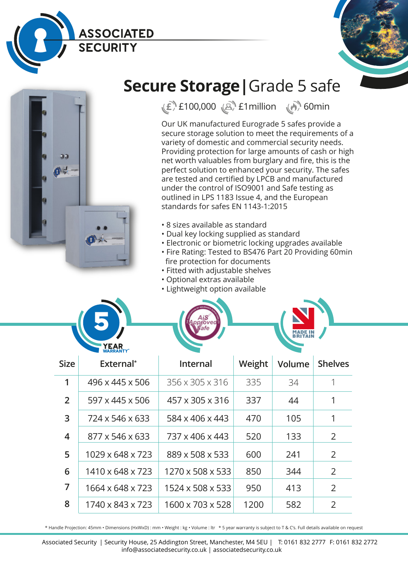





## **Secure Storage|**Grade 5 safe

**£** £100,000 £1million 60min

Our UK manufactured Eurograde 5 safes provide a secure storage solution to meet the requirements of a variety of domestic and commercial security needs. Providing protection for large amounts of cash or high net worth valuables from burglary and fire, this is the perfect solution to enhanced your security. The safes are tested and certified by LPCB and manufactured under the control of ISO9001 and Safe testing as outlined in LPS 1183 Issue 4, and the European standards for safes EN 1143-1:2015

- 8 sizes available as standard
- Dual key locking supplied as standard
- Electronic or biometric locking upgrades available
- Fire Rating: Tested to BS476 Part 20 Providing 60min fire protection for documents
- Fitted with adjustable shelves
- Optional extras available
- Lightweight option available



\* Handle Projection: 45mm • Dimensions (HxWxD) : mm • Weight : kg • Volume : ltr \* 5 year warranty is subject to T & C's. Full details available on request

Associated Security | Security House, 25 Addington Street, Manchester, M4 5EU | T: 0161 832 2777 F: 0161 832 2772 info@associatedsecurity.co.uk | associatedsecurity.co.uk